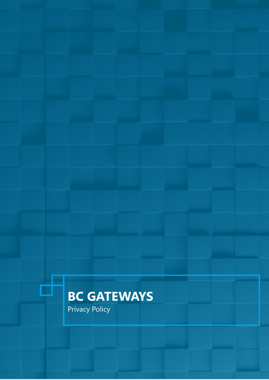# **BC GATEWAYS**

Privacy Policy

đ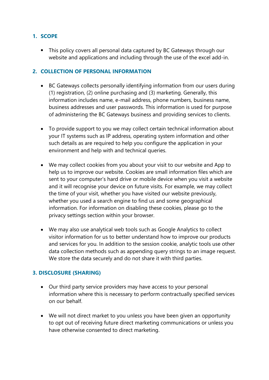## **1. SCOPE**

• This policy covers all personal data captured by BC Gateways through our website and applications and including through the use of the excel add-in.

#### **2. COLLECTION OF PERSONAL INFORMATION**

- BC Gateways collects personally identifying information from our users during (1) registration, (2) online purchasing and (3) marketing. Generally, this information includes name, e-mail address, phone numbers, business name, business addresses and user passwords. This information is used for purpose of administering the BC Gateways business and providing services to clients.
- To provide support to you we may collect certain technical information about your IT systems such as IP address, operating system information and other such details as are required to help you configure the application in your environment and help with and technical queries.
- We may collect cookies from you about your visit to our website and App to help us to improve our website. Cookies are small information files which are sent to your computer's hard drive or mobile device when you visit a website and it will recognise your device on future visits. For example, we may collect the time of your visit, whether you have visited our website previously, whether you used a search engine to find us and some geographical information. For information on disabling these cookies, please go to the privacy settings section within your browser.
- We may also use analytical web tools such as Google Analytics to collect visitor information for us to better understand how to improve our products and services for you. In addition to the session cookie, analytic tools use other data collection methods such as appending query strings to an image request. We store the data securely and do not share it with third parties.

#### **3. DISCLOSURE (SHARING)**

- Our third party service providers may have access to your personal information where this is necessary to perform contractually specified services on our behalf.
- We will not direct market to you unless you have been given an opportunity to opt out of receiving future direct marketing communications or unless you have otherwise consented to direct marketing.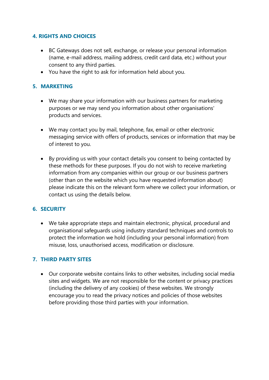### **4. RIGHTS AND CHOICES**

- BC Gateways does not sell, exchange, or release your personal information (name, e-mail address, mailing address, credit card data, etc.) without your consent to any third parties.
- You have the right to ask for information held about you.

# **5. MARKETING**

- We may share your information with our business partners for marketing purposes or we may send you information about other organisations' products and services.
- We may contact you by mail, telephone, fax, email or other electronic messaging service with offers of products, services or information that may be of interest to you.
- By providing us with your contact details you consent to being contacted by these methods for these purposes. If you do not wish to receive marketing information from any companies within our group or our business partners (other than on the website which you have requested information about) please indicate this on the relevant form where we collect your information, or contact us using the details below.

## **6. SECURITY**

• We take appropriate steps and maintain electronic, physical, procedural and organisational safeguards using industry standard techniques and controls to protect the information we hold (including your personal information) from misuse, loss, unauthorised access, modification or disclosure.

## **7. THIRD PARTY SITES**

• Our corporate website contains links to other websites, including social media sites and widgets. We are not responsible for the content or privacy practices (including the delivery of any cookies) of these websites. We strongly encourage you to read the privacy notices and policies of those websites before providing those third parties with your information.